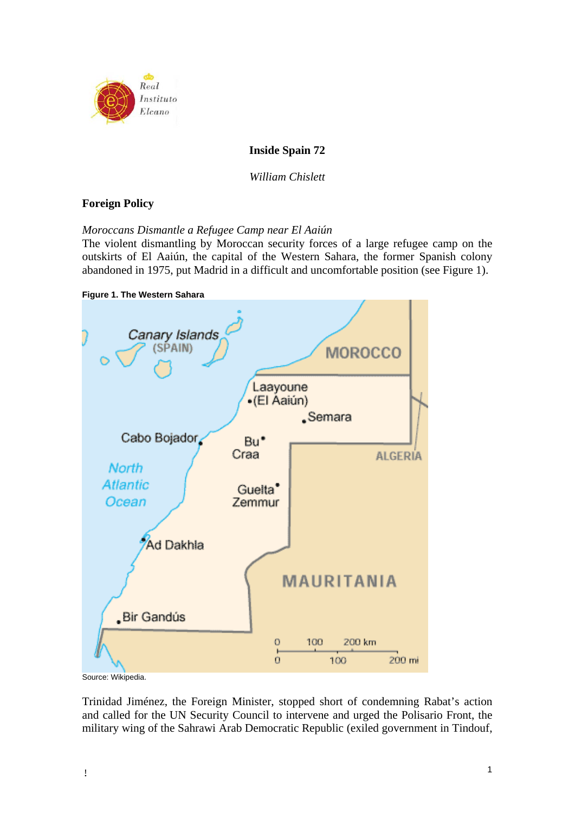

# **Inside Spain 72**

*William Chislett* 

# **Foreign Policy**

*Moroccans Dismantle a Refugee Camp near El Aaiún* 

The violent dismantling by Moroccan security forces of a large refugee camp on the outskirts of El Aaiún, the capital of the Western Sahara, the former Spanish colony abandoned in 1975, put Madrid in a difficult and uncomfortable position (see Figure 1).



Source: Wikipedia.

Trinidad Jiménez, the Foreign Minister, stopped short of condemning Rabat's action and called for the UN Security Council to intervene and urged the Polisario Front, the military wing of the Sahrawi Arab Democratic Republic (exiled government in Tindouf,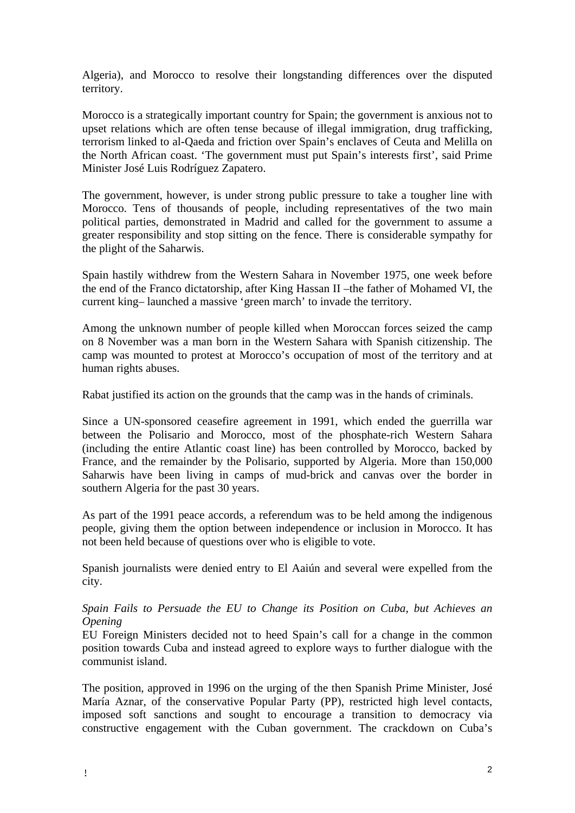Algeria), and Morocco to resolve their longstanding differences over the disputed territory.

Morocco is a strategically important country for Spain; the government is anxious not to upset relations which are often tense because of illegal immigration, drug trafficking, terrorism linked to al-Qaeda and friction over Spain's enclaves of Ceuta and Melilla on the North African coast. 'The government must put Spain's interests first', said Prime Minister José Luis Rodríguez Zapatero.

The government, however, is under strong public pressure to take a tougher line with Morocco. Tens of thousands of people, including representatives of the two main political parties, demonstrated in Madrid and called for the government to assume a greater responsibility and stop sitting on the fence. There is considerable sympathy for the plight of the Saharwis.

Spain hastily withdrew from the Western Sahara in November 1975, one week before the end of the Franco dictatorship, after King Hassan II –the father of Mohamed VI, the current king– launched a massive 'green march' to invade the territory.

Among the unknown number of people killed when Moroccan forces seized the camp on 8 November was a man born in the Western Sahara with Spanish citizenship. The camp was mounted to protest at Morocco's occupation of most of the territory and at human rights abuses.

Rabat justified its action on the grounds that the camp was in the hands of criminals.

Since a UN-sponsored ceasefire agreement in 1991, which ended the guerrilla war between the Polisario and Morocco, most of the phosphate-rich Western Sahara (including the entire Atlantic coast line) has been controlled by Morocco, backed by France, and the remainder by the Polisario, supported by Algeria. More than 150,000 Saharwis have been living in camps of mud-brick and canvas over the border in southern Algeria for the past 30 years.

As part of the 1991 peace accords, a referendum was to be held among the indigenous people, giving them the option between independence or inclusion in Morocco. It has not been held because of questions over who is eligible to vote.

Spanish journalists were denied entry to El Aaiún and several were expelled from the city.

*Spain Fails to Persuade the EU to Change its Position on Cuba, but Achieves an Opening* 

EU Foreign Ministers decided not to heed Spain's call for a change in the common position towards Cuba and instead agreed to explore ways to further dialogue with the communist island.

The position, approved in 1996 on the urging of the then Spanish Prime Minister, José María Aznar, of the conservative Popular Party (PP), restricted high level contacts, imposed soft sanctions and sought to encourage a transition to democracy via constructive engagement with the Cuban government. The crackdown on Cuba's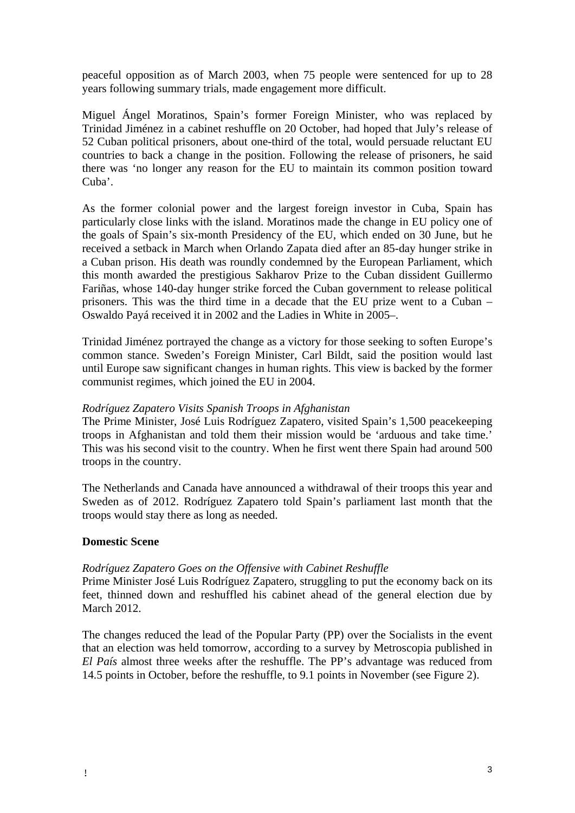peaceful opposition as of March 2003, when 75 people were sentenced for up to 28 years following summary trials, made engagement more difficult.

Miguel Ángel Moratinos, Spain's former Foreign Minister, who was replaced by Trinidad Jiménez in a cabinet reshuffle on 20 October, had hoped that July's release of 52 Cuban political prisoners, about one-third of the total, would persuade reluctant EU countries to back a change in the position. Following the release of prisoners, he said there was 'no longer any reason for the EU to maintain its common position toward Cuba'.

As the former colonial power and the largest foreign investor in Cuba, Spain has particularly close links with the island. Moratinos made the change in EU policy one of the goals of Spain's six-month Presidency of the EU, which ended on 30 June, but he received a setback in March when Orlando Zapata died after an 85-day hunger strike in a Cuban prison. His death was roundly condemned by the European Parliament, which this month awarded the prestigious Sakharov Prize to the Cuban dissident Guillermo Fariñas, whose 140-day hunger strike forced the Cuban government to release political prisoners. This was the third time in a decade that the EU prize went to a Cuban – Oswaldo Payá received it in 2002 and the Ladies in White in 2005–.

Trinidad Jiménez portrayed the change as a victory for those seeking to soften Europe's common stance. Sweden's Foreign Minister, Carl Bildt, said the position would last until Europe saw significant changes in human rights. This view is backed by the former communist regimes, which joined the EU in 2004.

# *Rodríguez Zapatero Visits Spanish Troops in Afghanistan*

The Prime Minister, José Luis Rodríguez Zapatero, visited Spain's 1,500 peacekeeping troops in Afghanistan and told them their mission would be 'arduous and take time.' This was his second visit to the country. When he first went there Spain had around 500 troops in the country.

The Netherlands and Canada have announced a withdrawal of their troops this year and Sweden as of 2012. Rodríguez Zapatero told Spain's parliament last month that the troops would stay there as long as needed.

# **Domestic Scene**

# *Rodríguez Zapatero Goes on the Offensive with Cabinet Reshuffle*

Prime Minister José Luis Rodríguez Zapatero, struggling to put the economy back on its feet, thinned down and reshuffled his cabinet ahead of the general election due by March 2012.

The changes reduced the lead of the Popular Party (PP) over the Socialists in the event that an election was held tomorrow, according to a survey by Metroscopia published in *El País* almost three weeks after the reshuffle. The PP's advantage was reduced from 14.5 points in October, before the reshuffle, to 9.1 points in November (see Figure 2).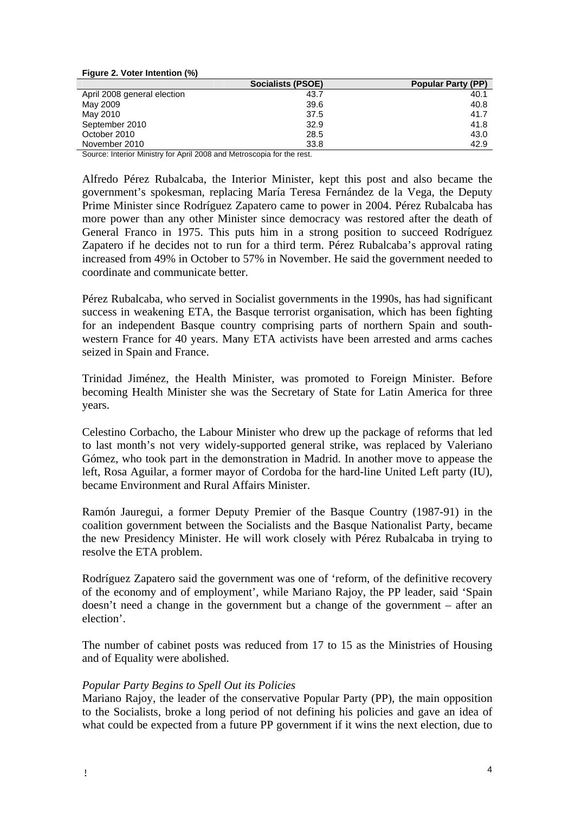| Figure 2. Voter Intention (%) |                   |                           |
|-------------------------------|-------------------|---------------------------|
|                               | Socialists (PSOE) | <b>Popular Party (PP)</b> |
| April 2008 general election   | 43.7              | 40.1                      |
| May 2009                      | 39.6              | 40.8                      |
| May 2010                      | 37.5              | 41.7                      |
| September 2010                | 32.9              | 41.8                      |
| October 2010                  | 28.5              | 43.0                      |
| November 2010                 | 33.8              | 42.9                      |

Source: Interior Ministry for April 2008 and Metroscopia for the rest.

Alfredo Pérez Rubalcaba, the Interior Minister, kept this post and also became the government's spokesman, replacing María Teresa Fernández de la Vega, the Deputy Prime Minister since Rodríguez Zapatero came to power in 2004. Pérez Rubalcaba has more power than any other Minister since democracy was restored after the death of General Franco in 1975. This puts him in a strong position to succeed Rodríguez Zapatero if he decides not to run for a third term. Pérez Rubalcaba's approval rating increased from 49% in October to 57% in November. He said the government needed to coordinate and communicate better.

Pérez Rubalcaba, who served in Socialist governments in the 1990s, has had significant success in weakening ETA, the Basque terrorist organisation, which has been fighting for an independent Basque country comprising parts of northern Spain and southwestern France for 40 years. Many ETA activists have been arrested and arms caches seized in Spain and France.

Trinidad Jiménez, the Health Minister, was promoted to Foreign Minister. Before becoming Health Minister she was the Secretary of State for Latin America for three years.

Celestino Corbacho, the Labour Minister who drew up the package of reforms that led to last month's not very widely-supported general strike, was replaced by Valeriano Gómez, who took part in the demonstration in Madrid. In another move to appease the left, Rosa Aguilar, a former mayor of Cordoba for the hard-line United Left party (IU), became Environment and Rural Affairs Minister.

Ramón Jauregui, a former Deputy Premier of the Basque Country (1987-91) in the coalition government between the Socialists and the Basque Nationalist Party, became the new Presidency Minister. He will work closely with Pérez Rubalcaba in trying to resolve the ETA problem.

Rodríguez Zapatero said the government was one of 'reform, of the definitive recovery of the economy and of employment', while Mariano Rajoy, the PP leader, said 'Spain doesn't need a change in the government but a change of the government – after an election'.

The number of cabinet posts was reduced from 17 to 15 as the Ministries of Housing and of Equality were abolished.

# *Popular Party Begins to Spell Out its Policies*

Mariano Rajoy, the leader of the conservative Popular Party (PP), the main opposition to the Socialists, broke a long period of not defining his policies and gave an idea of what could be expected from a future PP government if it wins the next election, due to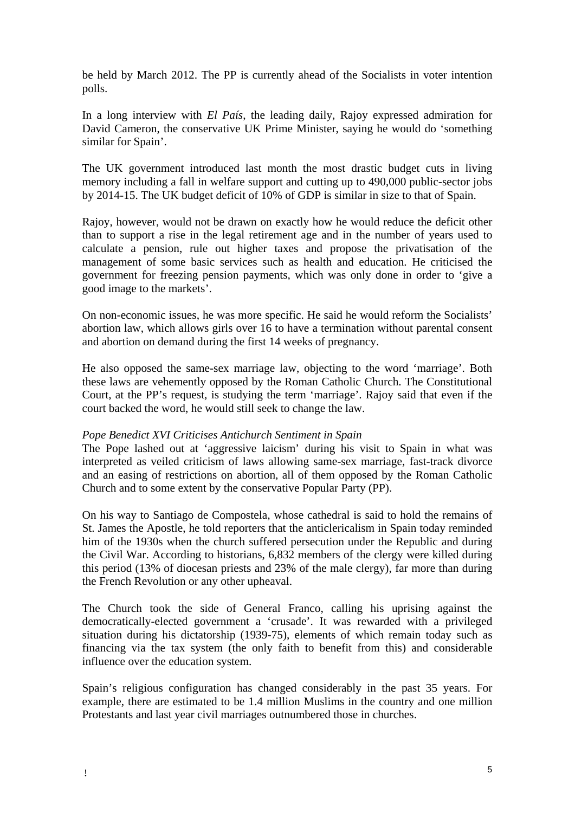be held by March 2012. The PP is currently ahead of the Socialists in voter intention polls.

In a long interview with *El País*, the leading daily, Rajoy expressed admiration for David Cameron, the conservative UK Prime Minister, saying he would do 'something similar for Spain'.

The UK government introduced last month the most drastic budget cuts in living memory including a fall in welfare support and cutting up to 490,000 public-sector jobs by 2014-15. The UK budget deficit of 10% of GDP is similar in size to that of Spain.

Rajoy, however, would not be drawn on exactly how he would reduce the deficit other than to support a rise in the legal retirement age and in the number of years used to calculate a pension, rule out higher taxes and propose the privatisation of the management of some basic services such as health and education. He criticised the government for freezing pension payments, which was only done in order to 'give a good image to the markets'.

On non-economic issues, he was more specific. He said he would reform the Socialists' abortion law, which allows girls over 16 to have a termination without parental consent and abortion on demand during the first 14 weeks of pregnancy.

He also opposed the same-sex marriage law, objecting to the word 'marriage'. Both these laws are vehemently opposed by the Roman Catholic Church. The Constitutional Court, at the PP's request, is studying the term 'marriage'. Rajoy said that even if the court backed the word, he would still seek to change the law.

# *Pope Benedict XVI Criticises Antichurch Sentiment in Spain*

The Pope lashed out at 'aggressive laicism' during his visit to Spain in what was interpreted as veiled criticism of laws allowing same-sex marriage, fast-track divorce and an easing of restrictions on abortion, all of them opposed by the Roman Catholic Church and to some extent by the conservative Popular Party (PP).

On his way to Santiago de Compostela, whose cathedral is said to hold the remains of St. James the Apostle, he told reporters that the anticlericalism in Spain today reminded him of the 1930s when the church suffered persecution under the Republic and during the Civil War. According to historians, 6,832 members of the clergy were killed during this period (13% of diocesan priests and 23% of the male clergy), far more than during the French Revolution or any other upheaval.

The Church took the side of General Franco, calling his uprising against the democratically-elected government a 'crusade'. It was rewarded with a privileged situation during his dictatorship (1939-75), elements of which remain today such as financing via the tax system (the only faith to benefit from this) and considerable influence over the education system.

Spain's religious configuration has changed considerably in the past 35 years. For example, there are estimated to be 1.4 million Muslims in the country and one million Protestants and last year civil marriages outnumbered those in churches.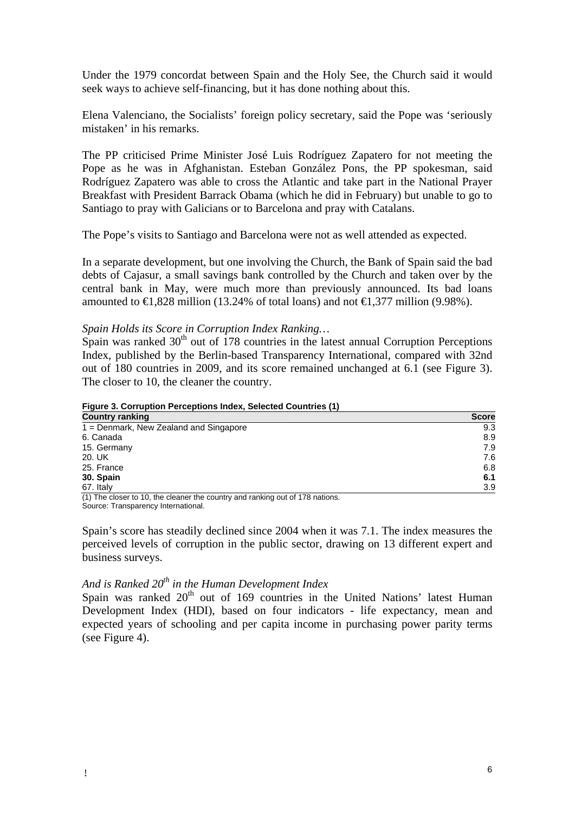Under the 1979 concordat between Spain and the Holy See, the Church said it would seek ways to achieve self-financing, but it has done nothing about this.

Elena Valenciano, the Socialists' foreign policy secretary, said the Pope was 'seriously mistaken' in his remarks.

The PP criticised Prime Minister José Luis Rodríguez Zapatero for not meeting the Pope as he was in Afghanistan. Esteban González Pons, the PP spokesman, said Rodríguez Zapatero was able to cross the Atlantic and take part in the National Prayer Breakfast with President Barrack Obama (which he did in February) but unable to go to Santiago to pray with Galicians or to Barcelona and pray with Catalans.

The Pope's visits to Santiago and Barcelona were not as well attended as expected.

In a separate development, but one involving the Church, the Bank of Spain said the bad debts of Cajasur, a small savings bank controlled by the Church and taken over by the central bank in May, were much more than previously announced. Its bad loans amounted to  $€1,828$  million (13.24% of total loans) and not  $€1,377$  million (9.98%).

# *Spain Holds its Score in Corruption Index Ranking…*

Spain was ranked  $30<sup>th</sup>$  out of 178 countries in the latest annual Corruption Perceptions Index, published by the Berlin-based Transparency International, compared with 32nd out of 180 countries in 2009, and its score remained unchanged at 6.1 (see Figure 3). The closer to 10, the cleaner the country.

**Figure 3. Corruption Perceptions Index, Selected Countries (1)** 

| <b>Country ranking</b>                                                                                                                                                                                                                   | <b>Score</b> |
|------------------------------------------------------------------------------------------------------------------------------------------------------------------------------------------------------------------------------------------|--------------|
| 1 = Denmark, New Zealand and Singapore                                                                                                                                                                                                   | 9.3          |
| 6. Canada                                                                                                                                                                                                                                | 8.9          |
| 15. Germany                                                                                                                                                                                                                              | 7.9          |
| 20. UK                                                                                                                                                                                                                                   | 7.6          |
| 25. France                                                                                                                                                                                                                               | 6.8          |
| 30. Spain                                                                                                                                                                                                                                | 6.1          |
| 67. Italy                                                                                                                                                                                                                                | 3.9          |
| $\mathcal{L}(\mathbf{A})$ . The contract of the contract of the contract of the contract of the contract of the contract of the contract of the contract of the contract of the contract of the contract of the contract of the contract |              |

(1) The closer to 10, the cleaner the country and ranking out of 178 nations. Source: Transparency International.

Spain's score has steadily declined since 2004 when it was 7.1. The index measures the perceived levels of corruption in the public sector, drawing on 13 different expert and business surveys.

# *And is Ranked 20th in the Human Development Index*

Spain was ranked  $20<sup>th</sup>$  out of 169 countries in the United Nations' latest Human Development Index (HDI), based on four indicators - life expectancy, mean and expected years of schooling and per capita income in purchasing power parity terms (see Figure 4).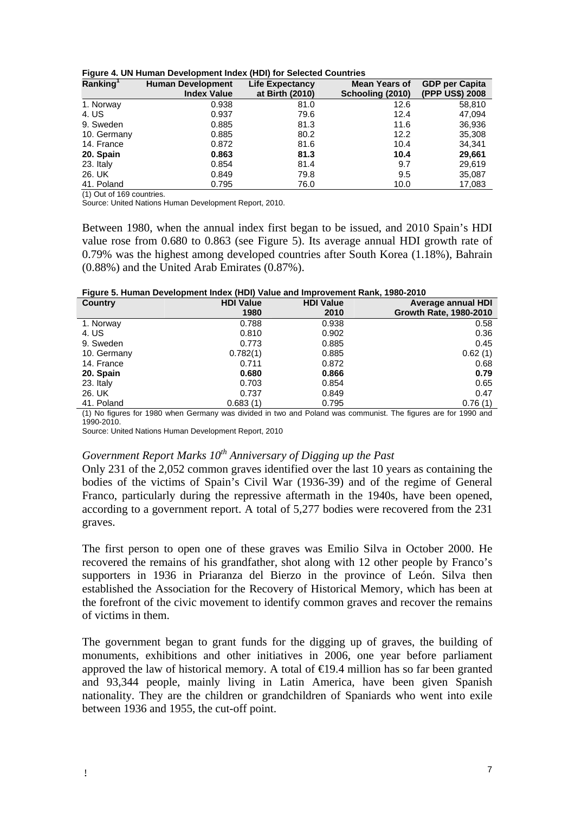| Ranking <sup>1</sup> | <b>Human Development</b> | <b>Life Expectancy</b> | <b>Mean Years of</b> | <b>GDP per Capita</b> |
|----------------------|--------------------------|------------------------|----------------------|-----------------------|
|                      | <b>Index Value</b>       | at Birth (2010)        | Schooling (2010)     | (PPP US\$) 2008       |
| 1. Norway            | 0.938                    | 81.0                   | 12.6                 | 58,810                |
| 4. US                | 0.937                    | 79.6                   | 12.4                 | 47,094                |
| 9. Sweden            | 0.885                    | 81.3                   | 11.6                 | 36,936                |
| 10. Germany          | 0.885                    | 80.2                   | 12.2                 | 35,308                |
| 14. France           | 0.872                    | 81.6                   | 10.4                 | 34,341                |
| 20. Spain            | 0.863                    | 81.3                   | 10.4                 | 29,661                |
| 23. Italy            | 0.854                    | 81.4                   | 9.7                  | 29,619                |
| 26. UK               | 0.849                    | 79.8                   | 9.5                  | 35,087                |
| 41. Poland           | 0.795                    | 76.0                   | 10.0                 | 17.083                |

|  | Figure 4. UN Human Development Index (HDI) for Selected Countries |  |  |  |
|--|-------------------------------------------------------------------|--|--|--|
|--|-------------------------------------------------------------------|--|--|--|

(1) Out of 169 countries.

Source: United Nations Human Development Report, 2010.

Between 1980, when the annual index first began to be issued, and 2010 Spain's HDI value rose from 0.680 to 0.863 (see Figure 5). Its average annual HDI growth rate of 0.79% was the highest among developed countries after South Korea (1.18%), Bahrain (0.88%) and the United Arab Emirates (0.87%).

**Figure 5. Human Development Index (HDI) Value and Improvement Rank, 1980-2010** 

| <b>Country</b> | <b>HDI Value</b> | <b>HDI Value</b> | Average annual HDI     |
|----------------|------------------|------------------|------------------------|
|                | 1980             | 2010             | Growth Rate, 1980-2010 |
| 1. Norway      | 0.788            | 0.938            | 0.58                   |
| 4. US          | 0.810            | 0.902            | 0.36                   |
| 9. Sweden      | 0.773            | 0.885            | 0.45                   |
| 10. Germany    | 0.782(1)         | 0.885            | 0.62(1)                |
| 14. France     | 0.711            | 0.872            | 0.68                   |
| 20. Spain      | 0.680            | 0.866            | 0.79                   |
| 23. Italy      | 0.703            | 0.854            | 0.65                   |
| 26. UK         | 0.737            | 0.849            | 0.47                   |
| 41. Poland     | 0.683(1)         | 0.795            | 0.76(1)                |

(1) No figures for 1980 when Germany was divided in two and Poland was communist. The figures are for 1990 and 1990-2010.

Source: United Nations Human Development Report, 2010

# *Government Report Marks 10<sup>th</sup> Anniversary of Digging up the Past*

Only 231 of the 2,052 common graves identified over the last 10 years as containing the bodies of the victims of Spain's Civil War (1936-39) and of the regime of General Franco, particularly during the repressive aftermath in the 1940s, have been opened, according to a government report. A total of 5,277 bodies were recovered from the 231 graves.

The first person to open one of these graves was Emilio Silva in October 2000. He recovered the remains of his grandfather, shot along with 12 other people by Franco's supporters in 1936 in Priaranza del Bierzo in the province of León. Silva then established the Association for the Recovery of Historical Memory, which has been at the forefront of the civic movement to identify common graves and recover the remains of victims in them.

The government began to grant funds for the digging up of graves, the building of monuments, exhibitions and other initiatives in 2006, one year before parliament approved the law of historical memory. A total of  $\in$  9.4 million has so far been granted and 93,344 people, mainly living in Latin America, have been given Spanish nationality. They are the children or grandchildren of Spaniards who went into exile between 1936 and 1955, the cut-off point.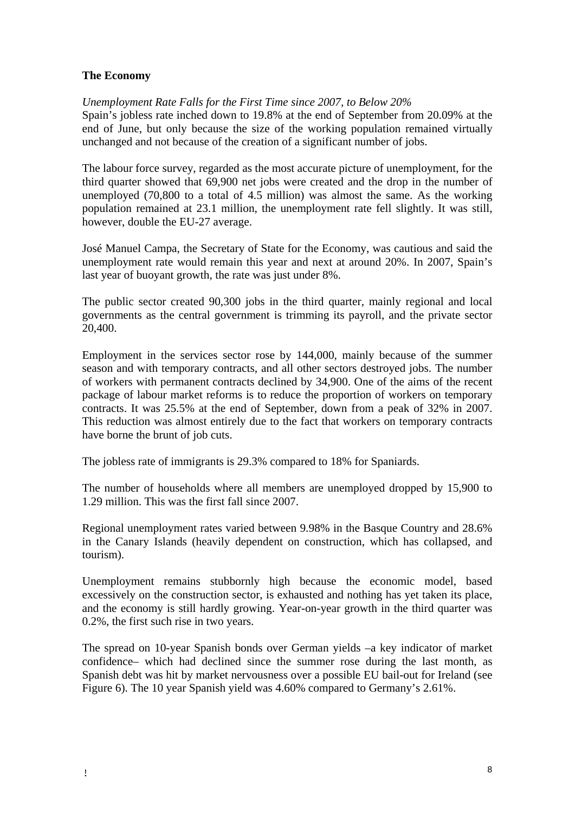# **The Economy**

# *Unemployment Rate Falls for the First Time since 2007, to Below 20%*

Spain's jobless rate inched down to 19.8% at the end of September from 20.09% at the end of June, but only because the size of the working population remained virtually unchanged and not because of the creation of a significant number of jobs.

The labour force survey, regarded as the most accurate picture of unemployment, for the third quarter showed that 69,900 net jobs were created and the drop in the number of unemployed (70,800 to a total of 4.5 million) was almost the same. As the working population remained at 23.1 million, the unemployment rate fell slightly. It was still, however, double the EU-27 average.

José Manuel Campa, the Secretary of State for the Economy, was cautious and said the unemployment rate would remain this year and next at around 20%. In 2007, Spain's last year of buoyant growth, the rate was just under 8%.

The public sector created 90,300 jobs in the third quarter, mainly regional and local governments as the central government is trimming its payroll, and the private sector 20,400.

Employment in the services sector rose by 144,000, mainly because of the summer season and with temporary contracts, and all other sectors destroyed jobs. The number of workers with permanent contracts declined by 34,900. One of the aims of the recent package of labour market reforms is to reduce the proportion of workers on temporary contracts. It was 25.5% at the end of September, down from a peak of 32% in 2007. This reduction was almost entirely due to the fact that workers on temporary contracts have borne the brunt of job cuts.

The jobless rate of immigrants is 29.3% compared to 18% for Spaniards.

The number of households where all members are unemployed dropped by 15,900 to 1.29 million. This was the first fall since 2007.

Regional unemployment rates varied between 9.98% in the Basque Country and 28.6% in the Canary Islands (heavily dependent on construction, which has collapsed, and tourism).

Unemployment remains stubbornly high because the economic model, based excessively on the construction sector, is exhausted and nothing has yet taken its place, and the economy is still hardly growing. Year-on-year growth in the third quarter was 0.2%, the first such rise in two years.

The spread on 10-year Spanish bonds over German yields –a key indicator of market confidence– which had declined since the summer rose during the last month, as Spanish debt was hit by market nervousness over a possible EU bail-out for Ireland (see Figure 6). The 10 year Spanish yield was 4.60% compared to Germany's 2.61%.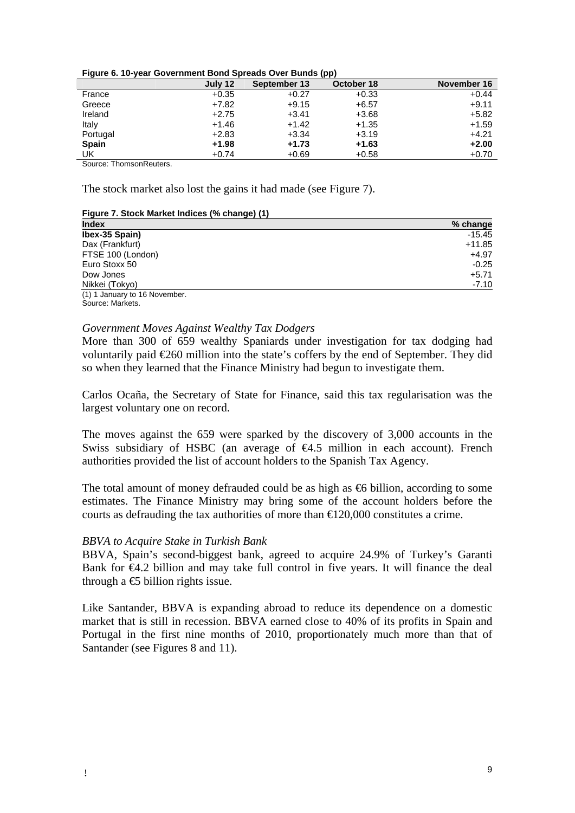| Figure 6. 10-year Government Bond Spreads Over Bunds (pp) |  |
|-----------------------------------------------------------|--|
|-----------------------------------------------------------|--|

|              | July 12 | September 13 | .<br>October 18 | November 16 |
|--------------|---------|--------------|-----------------|-------------|
| France       | $+0.35$ | $+0.27$      | $+0.33$         | $+0.44$     |
| Greece       | $+7.82$ | $+9.15$      | $+6.57$         | $+9.11$     |
| Ireland      | $+2.75$ | $+3.41$      | $+3.68$         | $+5.82$     |
| Italy        | $+1.46$ | $+1.42$      | $+1.35$         | $+1.59$     |
| Portugal     | $+2.83$ | $+3.34$      | $+3.19$         | $+4.21$     |
| <b>Spain</b> | $+1.98$ | $+1.73$      | $+1.63$         | $+2.00$     |
| <b>UK</b>    | $+0.74$ | $+0.69$      | $+0.58$         | $+0.70$     |

Source: ThomsonReuters.

The stock market also lost the gains it had made (see Figure 7).

#### **Figure 7. Stock Market Indices (% change) (1)**

| <b>Index</b>                  | % change |
|-------------------------------|----------|
| Ibex-35 Spain)                | $-15.45$ |
| Dax (Frankfurt)               | $+11.85$ |
| FTSE 100 (London)             | $+4.97$  |
| Euro Stoxx 50                 | $-0.25$  |
| Dow Jones                     | $+5.71$  |
| Nikkei (Tokyo)                | $-7.10$  |
| (1) 1 January to 16 November. |          |
| Source: Markets.              |          |

# *Government Moves Against Wealthy Tax Dodgers*

More than 300 of 659 wealthy Spaniards under investigation for tax dodging had voluntarily paid €260 million into the state's coffers by the end of September. They did so when they learned that the Finance Ministry had begun to investigate them.

Carlos Ocaña, the Secretary of State for Finance, said this tax regularisation was the largest voluntary one on record.

The moves against the 659 were sparked by the discovery of 3,000 accounts in the Swiss subsidiary of HSBC (an average of  $\bigoplus$  5 million in each account). French authorities provided the list of account holders to the Spanish Tax Agency.

The total amount of money defrauded could be as high as  $\Theta$  billion, according to some estimates. The Finance Ministry may bring some of the account holders before the courts as defrauding the tax authorities of more than  $\epsilon$ 120,000 constitutes a crime.

## *BBVA to Acquire Stake in Turkish Bank*

BBVA, Spain's second-biggest bank, agreed to acquire 24.9% of Turkey's Garanti Bank for €4.2 billion and may take full control in five years. It will finance the deal through a  $\bigoplus$  billion rights issue.

Like Santander, BBVA is expanding abroad to reduce its dependence on a domestic market that is still in recession. BBVA earned close to 40% of its profits in Spain and Portugal in the first nine months of 2010, proportionately much more than that of Santander (see Figures 8 and 11).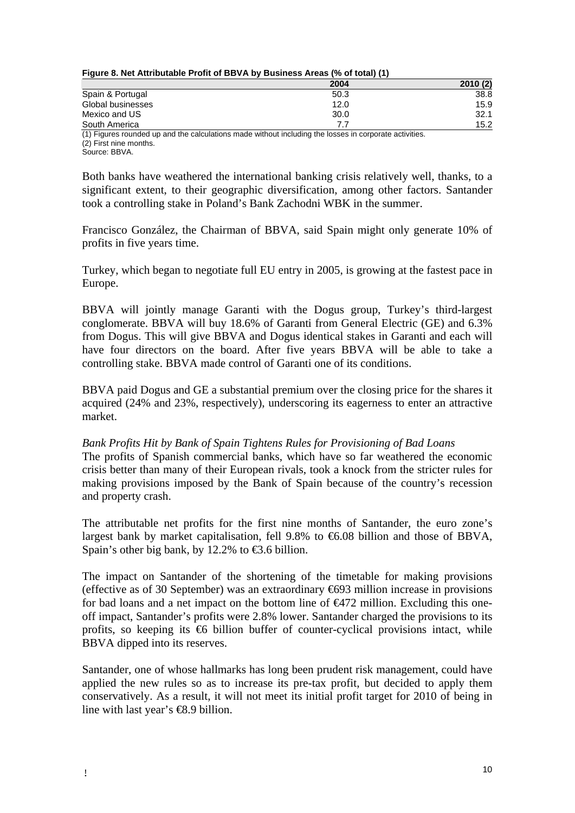| Figure 8. Net Attributable Profit of BBVA by Business Areas (% of total) (1) |
|------------------------------------------------------------------------------|
|------------------------------------------------------------------------------|

|                                                                                                       | 2004 | 2010(2) |
|-------------------------------------------------------------------------------------------------------|------|---------|
| Spain & Portugal                                                                                      | 50.3 | 38.8    |
| Global businesses                                                                                     | 12.0 | 15.9    |
| Mexico and US                                                                                         | 30.0 | 32.1    |
| South America                                                                                         |      | 15.2    |
| (1) Figures rounded up and the calculations made without including the losses in corporate activities |      |         |

d up and the calculations made without including the losses in corporate activities. (2) First nine months. Source: BBVA.

Both banks have weathered the international banking crisis relatively well, thanks, to a significant extent, to their geographic diversification, among other factors. Santander took a controlling stake in Poland's Bank Zachodni WBK in the summer.

Francisco González, the Chairman of BBVA, said Spain might only generate 10% of profits in five years time.

Turkey, which began to negotiate full EU entry in 2005, is growing at the fastest pace in Europe.

BBVA will jointly manage Garanti with the Dogus group, Turkey's third-largest conglomerate. BBVA will buy 18.6% of Garanti from General Electric (GE) and 6.3% from Dogus. This will give BBVA and Dogus identical stakes in Garanti and each will have four directors on the board. After five years BBVA will be able to take a controlling stake. BBVA made control of Garanti one of its conditions.

BBVA paid Dogus and GE a substantial premium over the closing price for the shares it acquired (24% and 23%, respectively), underscoring its eagerness to enter an attractive market.

## *Bank Profits Hit by Bank of Spain Tightens Rules for Provisioning of Bad Loans*  The profits of Spanish commercial banks, which have so far weathered the economic

crisis better than many of their European rivals, took a knock from the stricter rules for making provisions imposed by the Bank of Spain because of the country's recession and property crash.

The attributable net profits for the first nine months of Santander, the euro zone's largest bank by market capitalisation, fell 9.8% to  $6.08$  billion and those of BBVA, Spain's other big bank, by 12.2% to  $\text{\textsterling}3.6$  billion.

The impact on Santander of the shortening of the timetable for making provisions (effective as of 30 September) was an extraordinary  $\bigoplus$  4693 million increase in provisions for bad loans and a net impact on the bottom line of  $\epsilon$ 472 million. Excluding this oneoff impact, Santander's profits were 2.8% lower. Santander charged the provisions to its profits, so keeping its  $\Theta$  billion buffer of counter-cyclical provisions intact, while BBVA dipped into its reserves.

Santander, one of whose hallmarks has long been prudent risk management, could have applied the new rules so as to increase its pre-tax profit, but decided to apply them conservatively. As a result, it will not meet its initial profit target for 2010 of being in line with last year's €8.9 billion.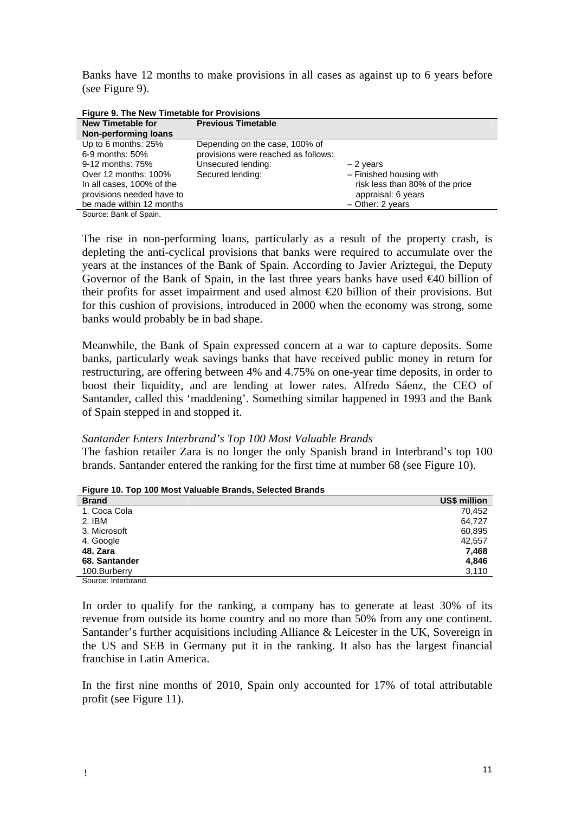Banks have 12 months to make provisions in all cases as against up to 6 years before (see Figure 9).

| Figure 9. The New Timetable for Provisions |                                     |                                 |
|--------------------------------------------|-------------------------------------|---------------------------------|
| <b>New Timetable for</b>                   | <b>Previous Timetable</b>           |                                 |
| <b>Non-performing loans</b>                |                                     |                                 |
| Up to 6 months: 25%                        | Depending on the case, 100% of      |                                 |
| 6-9 months: 50%                            | provisions were reached as follows: |                                 |
| 9-12 months: 75%                           | Unsecured lending:                  | $-2$ years                      |
| Over 12 months: 100%                       | Secured lending:                    | - Finished housing with         |
| In all cases, 100% of the                  |                                     | risk less than 80% of the price |
| provisions needed have to                  |                                     | appraisal: 6 years              |
| be made within 12 months                   |                                     | $-$ Other: 2 years              |
| Source: Bank of Spain.                     |                                     |                                 |

The rise in non-performing loans, particularly as a result of the property crash, is depleting the anti-cyclical provisions that banks were required to accumulate over the years at the instances of the Bank of Spain. According to Javier Aríztegui, the Deputy Governor of the Bank of Spain, in the last three years banks have used €40 billion of their profits for asset impairment and used almost  $\epsilon$  20 billion of their provisions. But for this cushion of provisions, introduced in 2000 when the economy was strong, some banks would probably be in bad shape.

Meanwhile, the Bank of Spain expressed concern at a war to capture deposits. Some banks, particularly weak savings banks that have received public money in return for restructuring, are offering between 4% and 4.75% on one-year time deposits, in order to boost their liquidity, and are lending at lower rates. Alfredo Sáenz, the CEO of Santander, called this 'maddening'. Something similar happened in 1993 and the Bank of Spain stepped in and stopped it.

## *Santander Enters Interbrand's Top 100 Most Valuable Brands*

The fashion retailer Zara is no longer the only Spanish brand in Interbrand's top 100 brands. Santander entered the ranking for the first time at number 68 (see Figure 10).

| <b>Brand</b>        | US\$ million |
|---------------------|--------------|
| 1. Coca Cola        | 70.452       |
| 2. IBM              | 64.727       |
| 3. Microsoft        | 60,895       |
| 4. Google           | 42,557       |
| 48. Zara            | 7,468        |
| 68. Santander       | 4,846        |
| 100.Burberry        | 3,110        |
| Source: Interbrand. |              |

**Figure 10. Top 100 Most Valuable Brands, Selected Brands** 

In order to qualify for the ranking, a company has to generate at least 30% of its revenue from outside its home country and no more than 50% from any one continent. Santander's further acquisitions including Alliance & Leicester in the UK, Sovereign in the US and SEB in Germany put it in the ranking. It also has the largest financial franchise in Latin America.

In the first nine months of 2010, Spain only accounted for 17% of total attributable profit (see Figure 11).